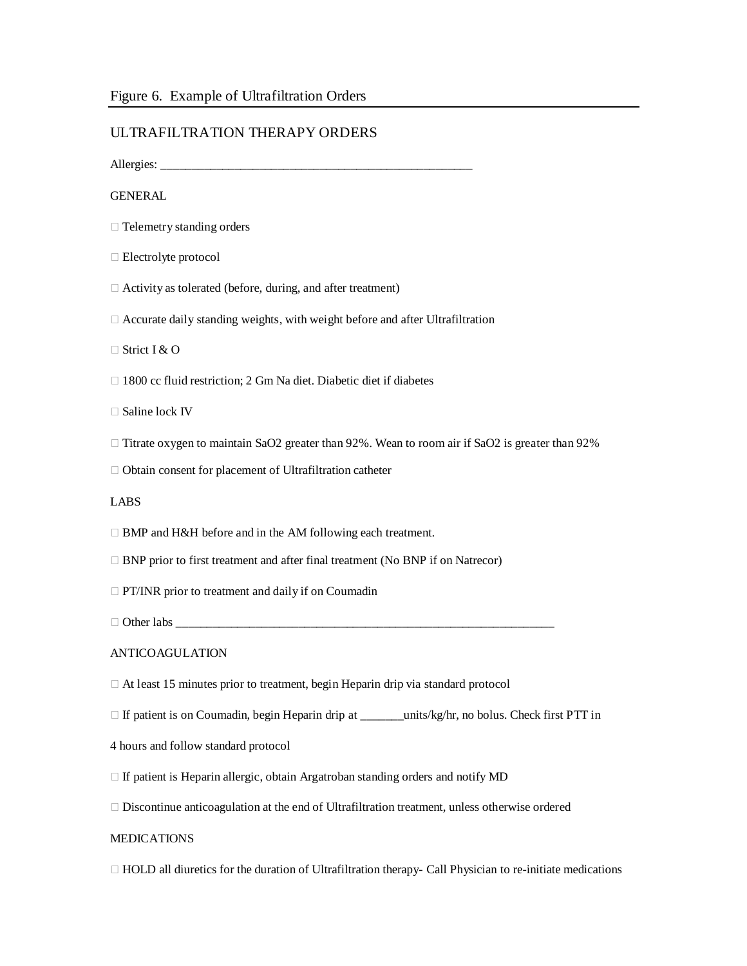## ULTRAFILTRATION THERAPY ORDERS

Allergies: \_\_\_\_\_\_\_\_\_\_\_\_\_\_\_\_\_\_\_\_\_\_\_\_\_\_\_\_\_\_\_\_\_\_\_\_\_\_\_\_\_\_\_\_\_\_\_\_\_\_\_

# **GENERAL**

- $\Box$  Telemetry standing orders
- Electrolyte protocol
- Activity as tolerated (before, during, and after treatment)
- Accurate daily standing weights, with weight before and after Ultrafiltration

Strict I & O

- □ 1800 cc fluid restriction; 2 Gm Na diet. Diabetic diet if diabetes
- □ Saline lock IV
- $\Box$  Titrate oxygen to maintain SaO2 greater than 92%. Wean to room air if SaO2 is greater than 92%
- $\Box$  Obtain consent for placement of Ultrafiltration catheter

#### LABS

- □ BMP and H&H before and in the AM following each treatment.
- $\Box$  BNP prior to first treatment and after final treatment (No BNP if on Natrecor)

**PT/INR** prior to treatment and daily if on Coumadin

Other labs \_\_\_\_\_\_\_\_\_\_\_\_\_\_\_\_\_\_\_\_\_\_\_\_\_\_\_\_\_\_\_\_\_\_\_\_\_\_\_\_\_\_\_\_\_\_\_\_\_\_\_\_\_\_\_\_\_\_\_\_\_\_

#### ANTICOAGULATION

- $\Box$  At least 15 minutes prior to treatment, begin Heparin drip via standard protocol
- □ If patient is on Coumadin, begin Heparin drip at \_\_\_\_\_\_units/kg/hr, no bolus. Check first PTT in
- 4 hours and follow standard protocol
- $\Box$  If patient is Heparin allergic, obtain Argatroban standing orders and notify MD
- $\Box$  Discontinue anticoagulation at the end of Ultrafiltration treatment, unless otherwise ordered

#### **MEDICATIONS**

 $\Box$  HOLD all diuretics for the duration of Ultrafiltration therapy- Call Physician to re-initiate medications